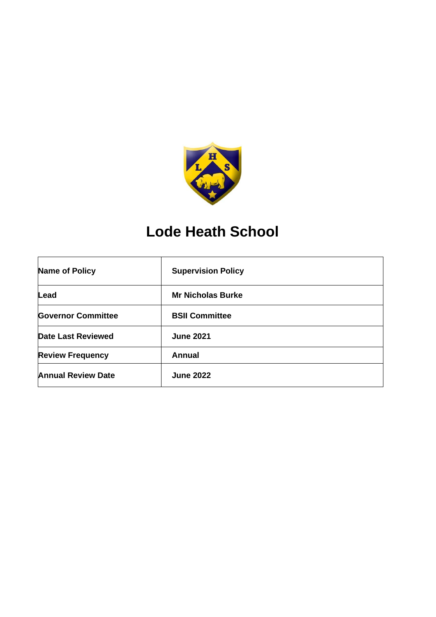

# **Lode Heath School**

| Name of Policy            | <b>Supervision Policy</b> |
|---------------------------|---------------------------|
| Lead                      | <b>Mr Nicholas Burke</b>  |
| <b>Governor Committee</b> | <b>BSII Committee</b>     |
| <b>Date Last Reviewed</b> | <b>June 2021</b>          |
| <b>Review Frequency</b>   | <b>Annual</b>             |
| <b>Annual Review Date</b> | <b>June 2022</b>          |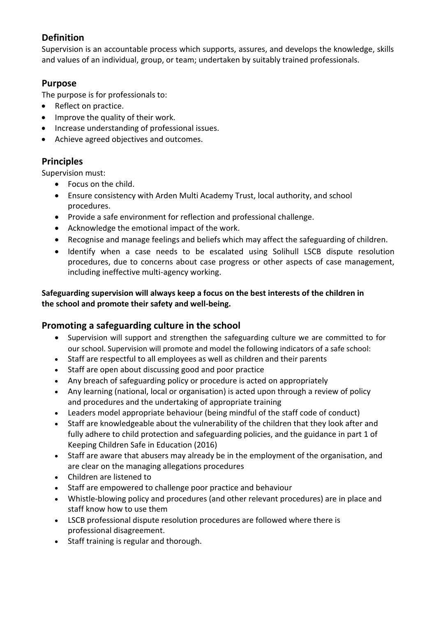# **Definition**

Supervision is an accountable process which supports, assures, and develops the knowledge, skills and values of an individual, group, or team; undertaken by suitably trained professionals.

# **Purpose**

The purpose is for professionals to:

- Reflect on practice.
- Improve the quality of their work.
- Increase understanding of professional issues.
- Achieve agreed objectives and outcomes.

# **Principles**

Supervision must:

- Focus on the child.
- Ensure consistency with Arden Multi Academy Trust, local authority, and school procedures.
- Provide a safe environment for reflection and professional challenge.
- Acknowledge the emotional impact of the work.
- Recognise and manage feelings and beliefs which may affect the safeguarding of children.
- Identify when a case needs to be escalated using Solihull LSCB dispute resolution procedures, due to concerns about case progress or other aspects of case management, including ineffective multi-agency working.

## **Safeguarding supervision will always keep a focus on the best interests of the children in the school and promote their safety and well-being.**

# **Promoting a safeguarding culture in the school**

- Supervision will support and strengthen the safeguarding culture we are committed to for our school. Supervision will promote and model the following indicators of a safe school:
- Staff are respectful to all employees as well as children and their parents
- Staff are open about discussing good and poor practice
- Any breach of safeguarding policy or procedure is acted on appropriately
- Any learning (national, local or organisation) is acted upon through a review of policy and procedures and the undertaking of appropriate training
- Leaders model appropriate behaviour (being mindful of the staff code of conduct)
- Staff are knowledgeable about the vulnerability of the children that they look after and fully adhere to child protection and safeguarding policies, and the guidance in part 1 of Keeping Children Safe in Education (2016)
- Staff are aware that abusers may already be in the employment of the organisation, and are clear on the managing allegations procedures
- Children are listened to
- Staff are empowered to challenge poor practice and behaviour
- Whistle-blowing policy and procedures (and other relevant procedures) are in place and staff know how to use them
- LSCB professional dispute resolution procedures are followed where there is professional disagreement.
- Staff training is regular and thorough.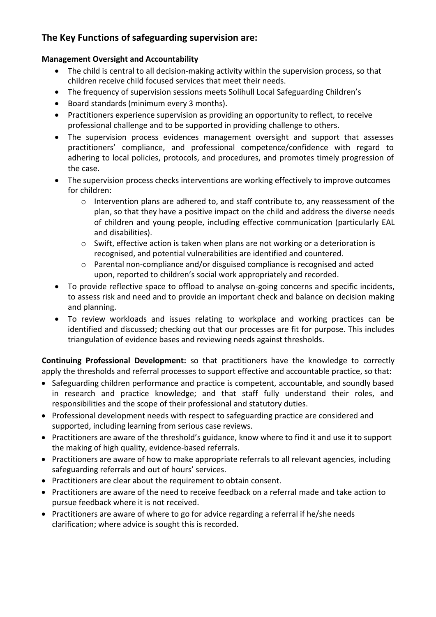# **The Key Functions of safeguarding supervision are:**

#### **Management Oversight and Accountability**

- The child is central to all decision-making activity within the supervision process, so that children receive child focused services that meet their needs.
- The frequency of supervision sessions meets Solihull Local Safeguarding Children's
- Board standards (minimum every 3 months).
- Practitioners experience supervision as providing an opportunity to reflect, to receive professional challenge and to be supported in providing challenge to others.
- The supervision process evidences management oversight and support that assesses practitioners' compliance, and professional competence/confidence with regard to adhering to local policies, protocols, and procedures, and promotes timely progression of the case.
- The supervision process checks interventions are working effectively to improve outcomes for children:
	- o Intervention plans are adhered to, and staff contribute to, any reassessment of the plan, so that they have a positive impact on the child and address the diverse needs of children and young people, including effective communication (particularly EAL and disabilities).
	- $\circ$  Swift, effective action is taken when plans are not working or a deterioration is recognised, and potential vulnerabilities are identified and countered.
	- o Parental non-compliance and/or disguised compliance is recognised and acted upon, reported to children's social work appropriately and recorded.
- To provide reflective space to offload to analyse on-going concerns and specific incidents, to assess risk and need and to provide an important check and balance on decision making and planning.
- To review workloads and issues relating to workplace and working practices can be identified and discussed; checking out that our processes are fit for purpose. This includes triangulation of evidence bases and reviewing needs against thresholds.

**Continuing Professional Development:** so that practitioners have the knowledge to correctly apply the thresholds and referral processes to support effective and accountable practice, so that:

- Safeguarding children performance and practice is competent, accountable, and soundly based in research and practice knowledge; and that staff fully understand their roles, and responsibilities and the scope of their professional and statutory duties.
- Professional development needs with respect to safeguarding practice are considered and supported, including learning from serious case reviews.
- Practitioners are aware of the threshold's guidance, know where to find it and use it to support the making of high quality, evidence-based referrals.
- Practitioners are aware of how to make appropriate referrals to all relevant agencies, including safeguarding referrals and out of hours' services.
- Practitioners are clear about the requirement to obtain consent.
- Practitioners are aware of the need to receive feedback on a referral made and take action to pursue feedback where it is not received.
- Practitioners are aware of where to go for advice regarding a referral if he/she needs clarification; where advice is sought this is recorded.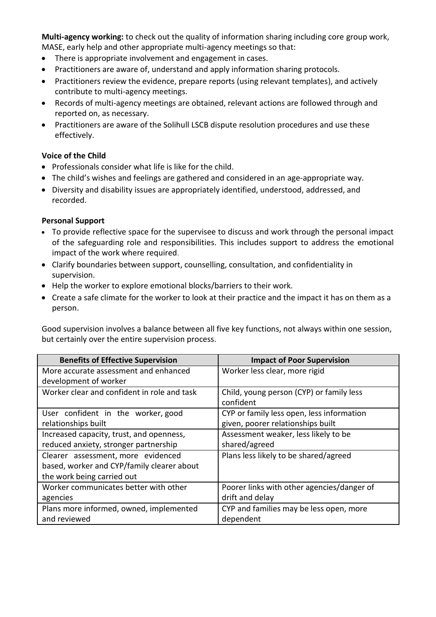**Multi-agency working:** to check out the quality of information sharing including core group work, MASE, early help and other appropriate multi-agency meetings so that:

- There is appropriate involvement and engagement in cases.
- Practitioners are aware of, understand and apply information sharing protocols.
- Practitioners review the evidence, prepare reports (using relevant templates), and actively contribute to multi-agency meetings.
- Records of multi-agency meetings are obtained, relevant actions are followed through and reported on, as necessary.
- Practitioners are aware of the Solihull LSCB dispute resolution procedures and use these effectively.

#### **Voice of the Child**

- Professionals consider what life is like for the child.
- The child's wishes and feelings are gathered and considered in an age-appropriate way.
- Diversity and disability issues are appropriately identified, understood, addressed, and recorded.

#### **Personal Support**

- To provide reflective space for the supervisee to discuss and work through the personal impact of the safeguarding role and responsibilities. This includes support to address the emotional impact of the work where required.
- Clarify boundaries between support, counselling, consultation, and confidentiality in supervision.
- Help the worker to explore emotional blocks/barriers to their work.
- Create a safe climate for the worker to look at their practice and the impact it has on them as a person.

Good supervision involves a balance between all five key functions, not always within one session, but certainly over the entire supervision process.

| <b>Benefits of Effective Supervision</b>    | <b>Impact of Poor Supervision</b>          |
|---------------------------------------------|--------------------------------------------|
| More accurate assessment and enhanced       | Worker less clear, more rigid              |
| development of worker                       |                                            |
| Worker clear and confident in role and task | Child, young person (CYP) or family less   |
|                                             | confident                                  |
| User confident in the worker, good          | CYP or family less open, less information  |
| relationships built                         | given, poorer relationships built          |
| Increased capacity, trust, and openness,    | Assessment weaker, less likely to be       |
| reduced anxiety, stronger partnership       | shared/agreed                              |
| Clearer assessment, more evidenced          | Plans less likely to be shared/agreed      |
| based, worker and CYP/family clearer about  |                                            |
| the work being carried out                  |                                            |
| Worker communicates better with other       | Poorer links with other agencies/danger of |
| agencies                                    | drift and delay                            |
| Plans more informed, owned, implemented     | CYP and families may be less open, more    |
| and reviewed                                | dependent                                  |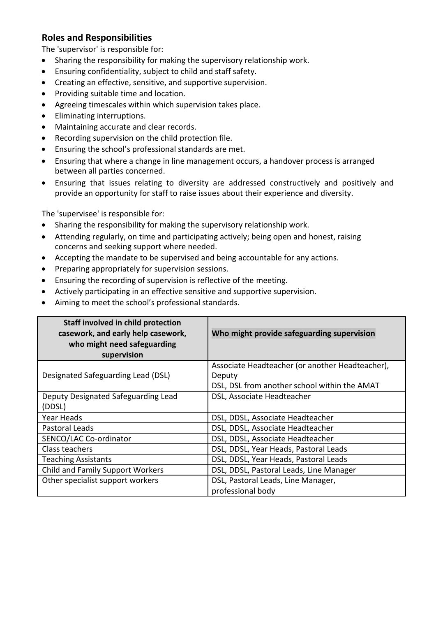## **Roles and Responsibilities**

The 'supervisor' is responsible for:

- Sharing the responsibility for making the supervisory relationship work.
- Ensuring confidentiality, subject to child and staff safety.
- Creating an effective, sensitive, and supportive supervision.
- Providing suitable time and location.
- Agreeing timescales within which supervision takes place.
- Eliminating interruptions.
- Maintaining accurate and clear records.
- Recording supervision on the child protection file.
- Ensuring the school's professional standards are met.
- Ensuring that where a change in line management occurs, a handover process is arranged between all parties concerned.
- Ensuring that issues relating to diversity are addressed constructively and positively and provide an opportunity for staff to raise issues about their experience and diversity.

The 'supervisee' is responsible for:

- Sharing the responsibility for making the supervisory relationship work.
- Attending regularly, on time and participating actively; being open and honest, raising concerns and seeking support where needed.
- Accepting the mandate to be supervised and being accountable for any actions.
- Preparing appropriately for supervision sessions.
- Ensuring the recording of supervision is reflective of the meeting.
- Actively participating in an effective sensitive and supportive supervision.
- Aiming to meet the school's professional standards.

| Staff involved in child protection<br>casework, and early help casework,<br>who might need safeguarding<br>supervision | Who might provide safeguarding supervision                                                                |
|------------------------------------------------------------------------------------------------------------------------|-----------------------------------------------------------------------------------------------------------|
| Designated Safeguarding Lead (DSL)                                                                                     | Associate Headteacher (or another Headteacher),<br>Deputy<br>DSL, DSL from another school within the AMAT |
| Deputy Designated Safeguarding Lead<br>(DDSL)                                                                          | DSL, Associate Headteacher                                                                                |
| Year Heads                                                                                                             | DSL, DDSL, Associate Headteacher                                                                          |
| Pastoral Leads                                                                                                         | DSL, DDSL, Associate Headteacher                                                                          |
| SENCO/LAC Co-ordinator                                                                                                 | DSL, DDSL, Associate Headteacher                                                                          |
| Class teachers                                                                                                         | DSL, DDSL, Year Heads, Pastoral Leads                                                                     |
| <b>Teaching Assistants</b>                                                                                             | DSL, DDSL, Year Heads, Pastoral Leads                                                                     |
| <b>Child and Family Support Workers</b>                                                                                | DSL, DDSL, Pastoral Leads, Line Manager                                                                   |
| Other specialist support workers                                                                                       | DSL, Pastoral Leads, Line Manager,<br>professional body                                                   |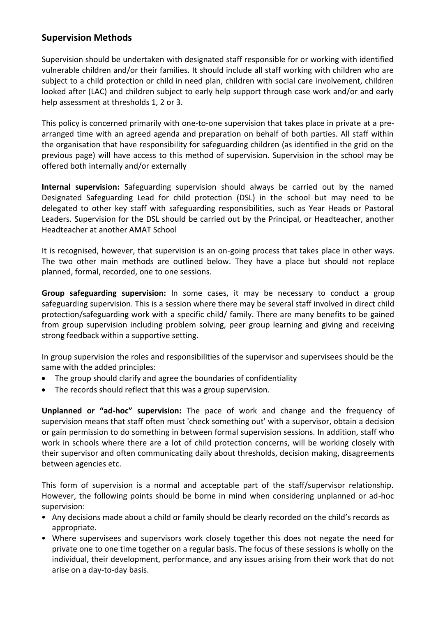# **Supervision Methods**

Supervision should be undertaken with designated staff responsible for or working with identified vulnerable children and/or their families. It should include all staff working with children who are subject to a child protection or child in need plan, children with social care involvement, children looked after (LAC) and children subject to early help support through case work and/or and early help assessment at thresholds 1, 2 or 3.

This policy is concerned primarily with one-to-one supervision that takes place in private at a prearranged time with an agreed agenda and preparation on behalf of both parties. All staff within the organisation that have responsibility for safeguarding children (as identified in the grid on the previous page) will have access to this method of supervision. Supervision in the school may be offered both internally and/or externally

**Internal supervision:** Safeguarding supervision should always be carried out by the named Designated Safeguarding Lead for child protection (DSL) in the school but may need to be delegated to other key staff with safeguarding responsibilities, such as Year Heads or Pastoral Leaders. Supervision for the DSL should be carried out by the Principal, or Headteacher, another Headteacher at another AMAT School

It is recognised, however, that supervision is an on-going process that takes place in other ways. The two other main methods are outlined below. They have a place but should not replace planned, formal, recorded, one to one sessions.

**Group safeguarding supervision:** In some cases, it may be necessary to conduct a group safeguarding supervision. This is a session where there may be several staff involved in direct child protection/safeguarding work with a specific child/ family. There are many benefits to be gained from group supervision including problem solving, peer group learning and giving and receiving strong feedback within a supportive setting.

In group supervision the roles and responsibilities of the supervisor and supervisees should be the same with the added principles:

- The group should clarify and agree the boundaries of confidentiality
- The records should reflect that this was a group supervision.

**Unplanned or "ad-hoc" supervision:** The pace of work and change and the frequency of supervision means that staff often must 'check something out' with a supervisor, obtain a decision or gain permission to do something in between formal supervision sessions. In addition, staff who work in schools where there are a lot of child protection concerns, will be working closely with their supervisor and often communicating daily about thresholds, decision making, disagreements between agencies etc.

This form of supervision is a normal and acceptable part of the staff/supervisor relationship. However, the following points should be borne in mind when considering unplanned or ad-hoc supervision:

- Any decisions made about a child or family should be clearly recorded on the child's records as appropriate.
- Where supervisees and supervisors work closely together this does not negate the need for private one to one time together on a regular basis. The focus of these sessions is wholly on the individual, their development, performance, and any issues arising from their work that do not arise on a day-to-day basis.